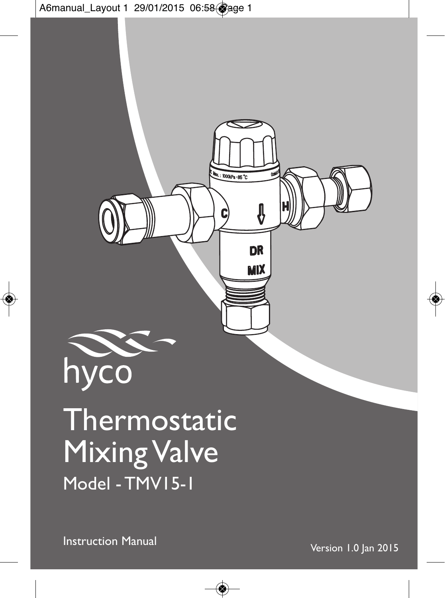

# Thermostatic **Mixing Valve** Model - TMV15-1

Instruction Manual Version 1.0 Jan <sup>2015</sup>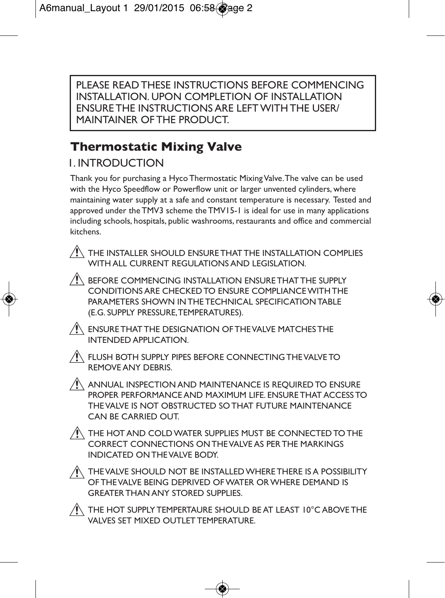PLEASE READ THESE INSTRUCTIONS BEFORE COMMENCING INSTALLATION. UPON COMPLETION OF INSTALLATION ENSURE THE INSTRUCTIONS ARE LEFT WITH THE USER/ MAINTAINER OF THE PRODUCT.

## **Thermostatic Mixing Valve**

## 1. INTRODUCTION

Thank you for purchasing a Hyco Thermostatic MixingValve.The valve can be used with the Hyco Speedflow or Powerflow unit or larger unvented cylinders, where maintaining water supply at a safe and constant temperature is necessary. Tested and approved under the TMV3 scheme the TMV15-1 is ideal for use in many applications including schools, hospitals, public washrooms, restaurants and office and commercial kitchens.

 THE INSTALLER SHOULD ENSURE THAT THE INSTALLATION COMPLIES WITH ALL CURRENT REGULATIONS AND LEGISLATION.

 $\sqrt{N}$  BEFORE COMMENCING INSTALLATION ENSURE THAT THE SUPPLY CONDITIONS ARE CHECKED TO ENSURE COMPLIANCEWITH THE PARAMETERS SHOWN INTHE TECHNICAL SPECIFICATIONTABLE (E.G. SUPPLY PRESSURE,TEMPERATURES).

 $\hat{P}$  ENSURE THAT THE DESIGNATION OF THE VALVE MATCHES THE INTENDED APPLICATION.



 $\bigwedge$  flush both supply pipes before connecting the valve to REMOVE ANY DEBRIS.

 $\triangle$  annual inspection and maintenance is required to ensure PROPER PERFORMANCE AND MAXIMUM LIFE. ENSURE THAT ACCESS TO THEVALVE IS NOT OBSTRUCTED SO THAT FUTURE MAINTENANCE CAN BE CARRIED OUT.

 $\triangle$  the hot and cold water supplies must be connected to the CORRECT CONNECTIONS ONTHEVALVE AS PER THE MARKINGS INDICATED ONTHEVALVE BODY.

 $\bigwedge$  thevalve should not be installed where there is a possibility OF THEVALVE BEING DEPRIVED OFWATER ORWHERE DEMAND IS **GREATER THAN ANY STORED SUPPLIES.** 

 $\bigwedge$  the hot supply tempertaure should be at least 10°C above the VALVES SET MIXED OUTLET TEMPERATURE.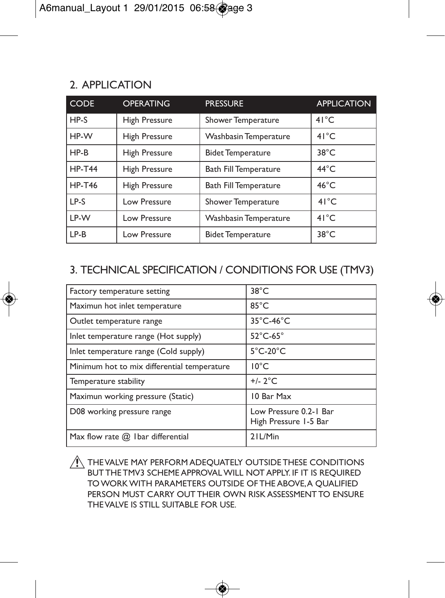## 2. APPLICATION

| <b>CODE</b>   | <b>OPERATING</b>     | <b>PRESSURE</b>              | <b>APPLICATION</b> |
|---------------|----------------------|------------------------------|--------------------|
| $HP-S$        | <b>High Pressure</b> | Shower Temperature           | 41°C               |
| HP-W          | <b>High Pressure</b> | Washbasin Temperature        | $41^{\circ}$ C     |
| $HP-B$        | <b>High Pressure</b> | <b>Bidet Temperature</b>     | $38^{\circ}$ C     |
| <b>HP-T44</b> | <b>High Pressure</b> | <b>Bath Fill Temperature</b> | $44^{\circ}$ C     |
| <b>HP-T46</b> | <b>High Pressure</b> | <b>Bath Fill Temperature</b> | $46^{\circ}$ C     |
| $LP-S$        | Low Pressure         | Shower Temperature           | $41^{\circ}$ C     |
| IP-W          | Low Pressure         | Washbasin Temperature        | $41^{\circ}$ C     |
| $LP-B$        | Low Pressure         | <b>Bidet Temperature</b>     | $38^{\circ}$ C     |

### 3. TECHNICAL SPECIFICATION / CONDITIONS FOR USE (TMV3)

| Factory temperature setting                 | $38^{\circ}$ C                                  |  |
|---------------------------------------------|-------------------------------------------------|--|
| Maximun hot inlet temperature               | $85^{\circ}$ C                                  |  |
| Outlet temperature range                    | $35^{\circ}$ C-46 $^{\circ}$ C                  |  |
| Inlet temperature range (Hot supply)        | $52^{\circ}$ C-65°                              |  |
| Inlet temperature range (Cold supply)       | $5^{\circ}$ C-20 $^{\circ}$ C                   |  |
| Minimum hot to mix differential temperature | $10^{\circ}$ C                                  |  |
| Temperature stability                       | $+/- 2°C$                                       |  |
| Maximun working pressure (Static)           | 10 Bar Max                                      |  |
| D08 working pressure range                  | Low Pressure 0.2-1 Bar<br>High Pressure 1-5 Bar |  |
| Max flow rate $(2)$ I bar differential      | 21L/Min                                         |  |

 $\hat{N}$  THEVALVE MAY PERFORM ADEQUATELY OUTSIDE THESE CONDITIONS BUT THE TMV3 SCHEME APPROVALWILL NOT APPLY. IF IT IS REQUIRED TOWORKWITH PARAMETERS OUTSIDE OF THE ABOVE,A QUALIFIED PERSON MUST CARRY OUT THEIR OWN RISK ASSESSMENT TO ENSURE THEVALVE IS STILL SUITABLE FOR USE.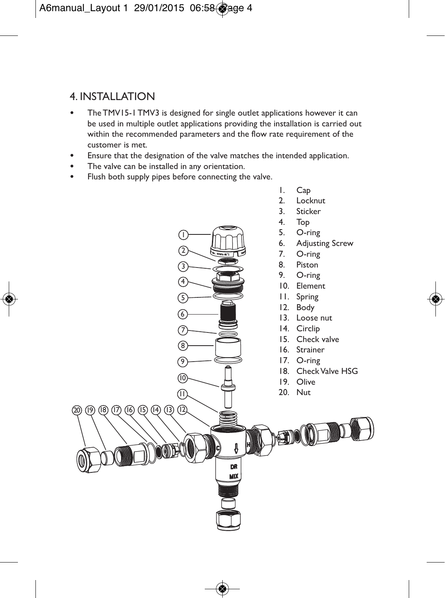## 4. INSTALLATION

- The TMV15-1 TMV3 is designed for single outlet applications however it can be used in multiple outlet applications providing the installation is carried out within the recommended parameters and the flow rate requirement of the customer is met.
- Ensure that the designation of the valve matches the intended application.
- The valve can be installed in any orientation.
- Flush both supply pipes before connecting the valve.

 $\sqrt{1}$  $\widehat{2}$ 3 4

6 5

11

DR MD)

 $(16)$   $(13)$   $(14)$   $(13)$   $(12)$ 



- 2. Locknut
- 3. Sticker
- 4. Top
- 5. O-ring
- 6. Adjusting Screw<br>7 O-ring
- O-ring
- 8. Piston
- 9. O-ring
- 10. Element
- 11. Spring
- 12. Body
- 13. Loose nut
- 14. Circlip
- 15. Check valve
- 16. Strainer
- 17. O-ring
- 18. CheckValve HSG
- 19. Olive
- 20. Nut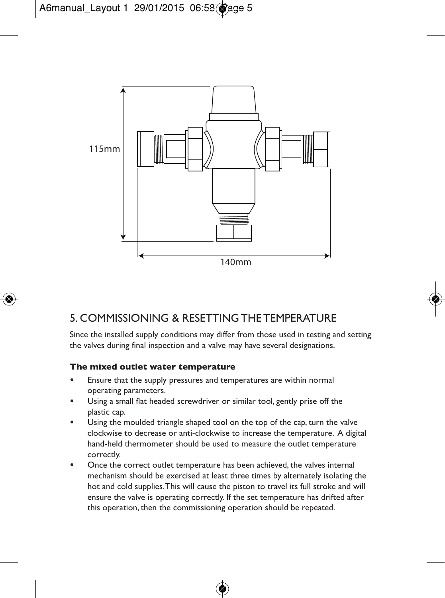

## 5. COMMISSIONING & RESETTING THE TEMPERATURE

Since the installed supply conditions may differ from those used in testing and setting the valves during final inspection and a valve may have several designations.

#### **The mixed outlet water temperature**

- Ensure that the supply pressures and temperatures are within normal operating parameters.
- Using a small flat headed screwdriver or similar tool, gently prise off the plastic cap.
- Using the moulded triangle shaped tool on the top of the cap, turn the valve clockwise to decrease or anti-clockwise to increase the temperature. A digital hand-held thermometer should be used to measure the outlet temperature correctly.
- Once the correct outlet temperature has been achieved, the valves internal mechanism should be exercised at least three times by alternately isolating the hot and cold supplies.This will cause the piston to travel its full stroke and will ensure the valve is operating correctly. If the set temperature has drifted after this operation, then the commissioning operation should be repeated.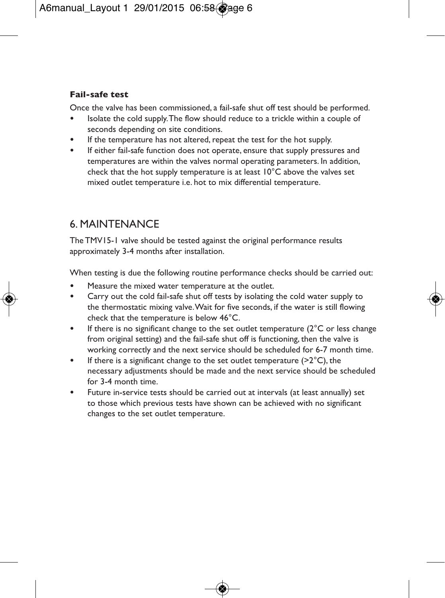#### **Fail-safe test**

Once the valve has been commissioned, a fail-safe shut off test should be performed.

- Isolate the cold supply.The flow should reduce to a trickle within a couple of seconds depending on site conditions.
- If the temperature has not altered, repeat the test for the hot supply.
- If either fail-safe function does not operate, ensure that supply pressures and temperatures are within the valves normal operating parameters. In addition, check that the hot supply temperature is at least 10°C above the valves set mixed outlet temperature i.e. hot to mix differential temperature.

## 6. MAINTENANCE

The TMV15-1 valve should be tested against the original performance results approximately 3-4 months after installation.

When testing is due the following routine performance checks should be carried out:

- Measure the mixed water temperature at the outlet.
- Carry out the cold fail-safe shut off tests by isolating the cold water supply to the thermostatic mixing valve.Wait for five seconds, if the water is still flowing check that the temperature is below 46°C.
- If there is no significant change to the set outlet temperature (2°C or less change from original setting) and the fail-safe shut off is functioning, then the valve is working correctly and the next service should be scheduled for 6-7 month time.
- If there is a significant change to the set outlet temperature (>2°C), the necessary adjustments should be made and the next service should be scheduled for 3-4 month time.
- Future in-service tests should be carried out at intervals (at least annually) set to those which previous tests have shown can be achieved with no significant changes to the set outlet temperature.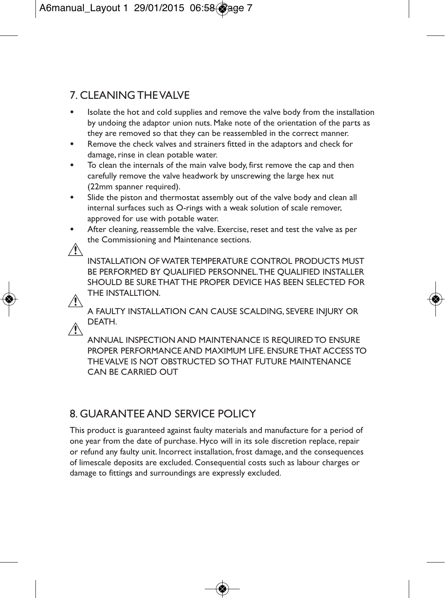## 7. CLEANING THEVALVE

- Isolate the hot and cold supplies and remove the valve body from the installation by undoing the adaptor union nuts. Make note of the orientation of the parts as they are removed so that they can be reassembled in the correct manner.
- Remove the check valves and strainers fitted in the adaptors and check for damage, rinse in clean potable water.
- To clean the internals of the main valve body, first remove the cap and then carefully remove the valve headwork by unscrewing the large hex nut (22mm spanner required).
- Slide the piston and thermostat assembly out of the valve body and clean all internal surfaces such as O-rings with a weak solution of scale remover, approved for use with potable water.
- After cleaning, reassemble the valve. Exercise, reset and test the valve as per the Commissioning and Maintenance sections.



 INSTALLATION OFWATER TEMPERATURE CONTROL PRODUCTS MUST BE PERFORMED BY QUALIFIED PERSONNEL.THE QUALIFIED INSTALLER SHOULD BE SURE THAT THE PROPER DEVICE HAS BEEN SELECTED FOR THE INSTALLTION.

 A FAULTY INSTALLATION CAN CAUSE SCALDING, SEVERE INJURY OR DEATH.

 ANNUAL INSPECTION AND MAINTENANCE IS REQUIRED TO ENSURE PROPER PERFORMANCE AND MAXIMUM LIFE ENSURE THAT ACCESS TO THEVALVE IS NOT OBSTRUCTED SO THAT FUTURE MAINTENANCE CAN BE CARRIED OUT

## 8. GUARANTEE AND SERVICE POLICY

This product is guaranteed against faulty materials and manufacture for a period of one year from the date of purchase. Hyco will in its sole discretion replace, repair or refund any faulty unit. Incorrect installation, frost damage, and the consequences of limescale deposits are excluded. Consequential costs such as labour charges or damage to fittings and surroundings are expressly excluded.